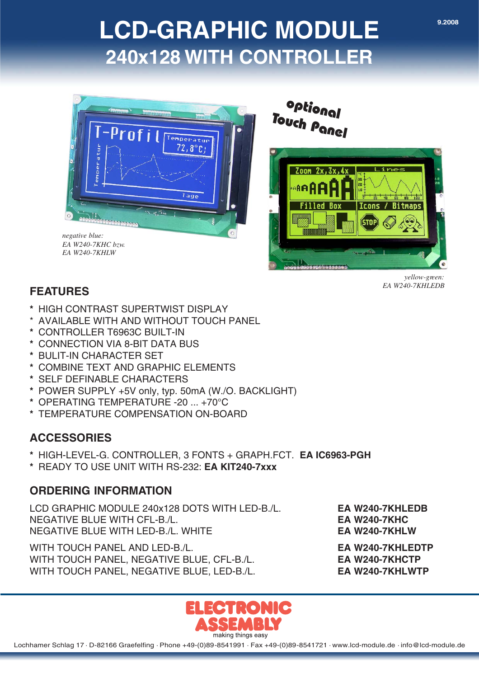# **LCD-GRAPHIC MODULE 240x128 WITH CONTROLLER**



optional Touch Panel



*yellow-green: EA W240-7KHLEDB*

- **FEATURES**
- **\*** HIGH CONTRAST SUPERTWIST DISPLAY
- \* AVAILABLE WITH AND WITHOUT TOUCH PANEL
- **\*** CONTROLLER T6963C BUILT-IN
- **\*** CONNECTION VIA 8-BIT DATA BUS
- **\*** BULIT-IN CHARACTER SET
- **\*** COMBINE TEXT AND GRAPHIC ELEMENTS
- **\*** SELF DEFINABLE CHARACTERS
- **\*** POWER SUPPLY +5V only, typ. 50mA (W./O. BACKLIGHT)
- **\*** OPERATING TEMPERATURE -20 ... +70°C
- **\*** TEMPERATURE COMPENSATION ON-BOARD

# **ACCESSORIES**

- **\*** HIGH-LEVEL-G. CONTROLLER, 3 FONTS + GRAPH.FCT. **EA IC6963-PGH**
- **\*** READY TO USE UNIT WITH RS-232: **EA KIT240-7xxx**

## **ORDERING INFORMATION**

LCD GRAPHIC MODULE 240x128 DOTS WITH LED-B./L. **EA W240-7KHLEDB** NEGATIVE BLUE WITH CFL-B./L. **EA W240-7KHC** NEGATIVE BLUE WITH LED-B./L. WHITE **EA W240-7KHLW**

WITH TOUCH PANEL AND LED-B./L. **EA W240-7KHLEDTP** WITH TOUCH PANEL, NEGATIVE BLUE, CFL-B./L. **EA W240-7KHCTP** WITH TOUCH PANEL, NEGATIVE BLUE, LED-B./L. **EA W240-7KHLWTP** 

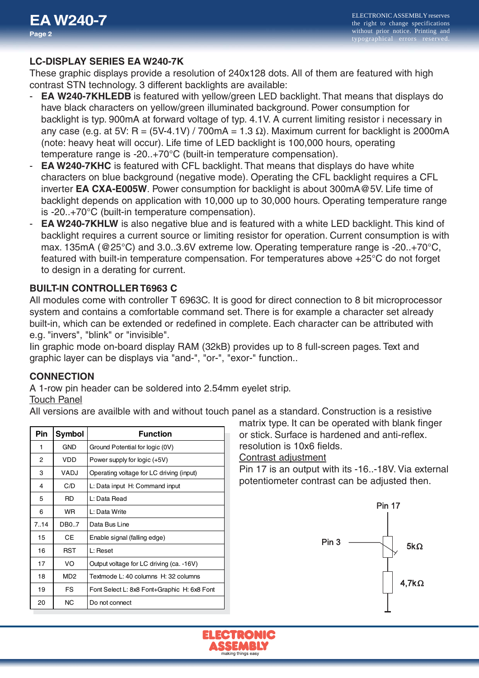### **LC-DISPLAY SERIES EA W240-7K**

These graphic displays provide a resolution of 240x128 dots. All of them are featured with high contrast STN technology. 3 different backlights are available:

- **EA W240-7KHLEDB** is featured with yellow/green LED backlight. That means that displays do have black characters on yellow/green illuminated background. Power consumption for backlight is typ. 900mA at forward voltage of typ. 4.1V. A current limiting resistor i necessary in any case (e.g. at 5V: R = (5V-4.1V) / 700mA = 1.3  $\Omega$ ). Maximum current for backlight is 2000mA (note: heavy heat will occur). Life time of LED backlight is 100,000 hours, operating temperature range is -20..+70°C (built-in temperature compensation).
- **EA W240-7KHC** is featured with CFL backlight. That means that displays do have white characters on blue background (negative mode). Operating the CFL backlight requires a CFL inverter **EA CXA-E005W**. Power consumption for backlight is about 300mA@5V. Life time of backlight depends on application with 10,000 up to 30,000 hours. Operating temperature range is -20..+70°C (built-in temperature compensation).
- **EA W240-7KHLW** is also negative blue and is featured with a white LED backlight. This kind of backlight requires a current source or limiting resistor for operation. Current consumption is with max. 135mA (@25°C) and 3.0..3.6V extreme low. Operating temperature range is -20..+70°C, featured with built-in temperature compensation. For temperatures above +25°C do not forget to design in a derating for current.

### **BUILT-IN CONTROLLER T6963 C**

All modules come with controller T 6963C. It is good for direct connection to 8 bit microprocessor system and contains a comfortable command set. There is for example a character set already built-in, which can be extended or redefined in complete. Each character can be attributed with e.g. "invers", "blink" or "invisible".

Iin graphic mode on-board display RAM (32kB) provides up to 8 full-screen pages. Text and graphic layer can be displays via "and-", "or-", "exor-" function..

### **CONNECTION**

A 1-row pin header can be soldered into 2.54mm eyelet strip.

#### Touch Panel

All versions are availble with and without touch panel as a standard. Construction is a resistive

| Pin  | <b>Symbol</b>   | <b>Function</b>                             |
|------|-----------------|---------------------------------------------|
| 1    | <b>GND</b>      | Ground Potential for logic (0V)             |
| 2    | <b>VDD</b>      | Power supply for logic (+5V)                |
| 3    | VADJ            | Operating voltage for LC driving (input)    |
| 4    | C/D             | L: Data input H: Command input              |
| 5    | <b>RD</b>       | L: Data Read                                |
| 6    | <b>WR</b>       | L: Data Write                               |
| 7.14 | DB0.7           | Data Bus Line                               |
| 15   | CЕ              | Enable signal (falling edge)                |
| 16   | RST             | L: Reset                                    |
| 17   | VO.             | Output voltage for LC driving (ca. -16V)    |
| 18   | MD <sub>2</sub> | Textmode L: 40 columns H: 32 columns        |
| 19   | FS.             | Font Select L: 8x8 Font+Graphic H: 6x8 Font |
| 20   | <b>NC</b>       | Do not connect                              |

matrix type. It can be operated with blank finger or stick. Surface is hardened and anti-reflex. resolution is 10x6 fields.

Contrast adjustment

Pin 17 is an output with its -16..-18V. Via external potentiometer contrast can be adjusted then.



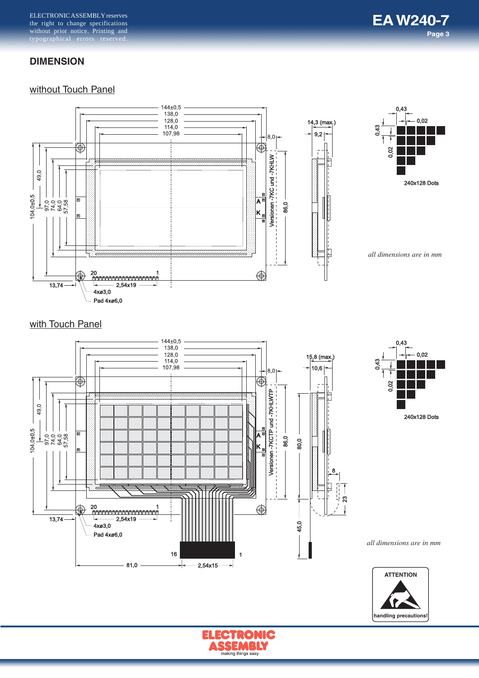ELECTRONIC ASSEMBLY reserves the right to change specifications without prior notice. Printing and typographical errors reserved.

#### **DIMENSION**

#### without Touch Panel



*all dimensions are in mm*

 $\prod_{\alpha}$ LI<br>F

 $\mathbf{z}$ 





 $\overline{1}$  $\overline{\phantom{0}}$ 

 $\bigoplus$ 

45,0



4xø3,0 Pad 4xø6,0

2,54x19

 $-81,0$ 

 $16$ 

┙

 $-2,54x15$ 

 $13,74$